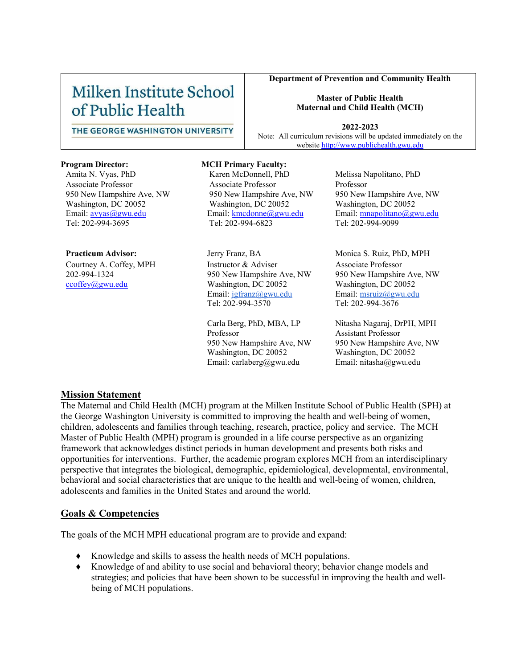# Milken Institute School of Public Health

#### **Department of Prevention and Community Health**

#### **Master of Public Health Maternal and Child Health (MCH)**

**2022-2023** Note: All curriculum revisions will be updated immediately on the website [http://www.publichealth.gwu.edu](http://www.publichealth.gwu.edu/)

THE GEORGE WASHINGTON UNIVERSITY

Associate Professor 950 New Hampshire Ave, NW Washington, DC 20052 Email: [avyas@gwu.edu](mailto:avyas@gwu.edu) Tel: 202-994-3695

Courtney A. Coffey, MPH 202-994-1324 [ccoffey@gwu.edu](mailto:ccoffey@gwu.edu)

#### **Program Director: MCH Primary Faculty:**

Amita N. Vyas, PhD Karen McDonnell, PhD Melissa Napolitano, PhD Associate Professor 950 New Hampshire Ave, NW Washington, DC 20052 Email: [kmcdonne@gwu.edu](mailto:kmcdonne@gwu.edu) Tel: 202-994-6823

**Practicum Advisor:** Jerry Franz, BA Monica S. Ruiz, PhD, MPH Instructor & Adviser 950 New Hampshire Ave, NW Washington, DC 20052 Email: [jgfranz@gwu.edu](mailto:jgfranz@gwu.edu) Tel: 202-994-3570

> Carla Berg, PhD, MBA, LP Professor 950 New Hampshire Ave, NW Washington, DC 20052 Email: carlaberg@gwu.edu

Professor 950 New Hampshire Ave, NW Washington, DC 20052 Email: [mnapolitano@gwu.edu](mailto:mnapolitano@gwu.edu) Tel: 202-994-9099

Associate Professor 950 New Hampshire Ave, NW Washington, DC 20052 Email: [msruiz@gwu.edu](mailto:msruiz@gwu.edu) Tel: 202-994-3676

Nitasha Nagaraj, DrPH, MPH Assistant Professor 950 New Hampshire Ave, NW Washington, DC 20052 Email: nitasha@gwu.edu

#### **Mission Statement**

The Maternal and Child Health (MCH) program at the Milken Institute School of Public Health (SPH) at the George Washington University is committed to improving the health and well-being of women, children, adolescents and families through teaching, research, practice, policy and service. The MCH Master of Public Health (MPH) program is grounded in a life course perspective as an organizing framework that acknowledges distinct periods in human development and presents both risks and opportunities for interventions. Further, the academic program explores MCH from an interdisciplinary perspective that integrates the biological, demographic, epidemiological, developmental, environmental, behavioral and social characteristics that are unique to the health and well-being of women, children, adolescents and families in the United States and around the world.

### **Goals & Competencies**

The goals of the MCH MPH educational program are to provide and expand:

- Knowledge and skills to assess the health needs of MCH populations.
- Knowledge of and ability to use social and behavioral theory; behavior change models and strategies; and policies that have been shown to be successful in improving the health and wellbeing of MCH populations.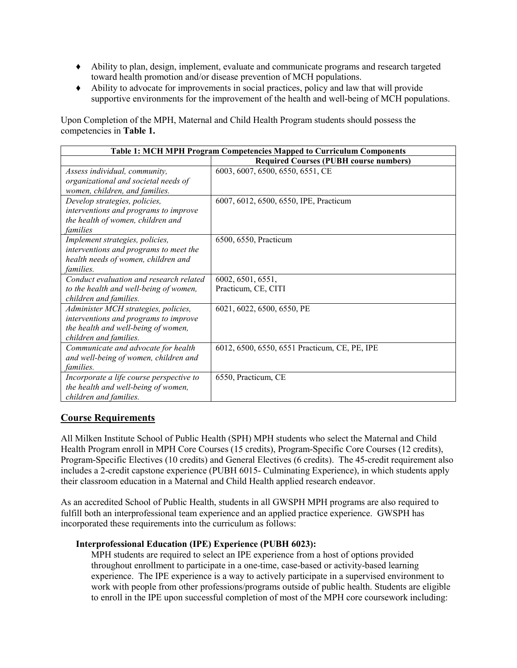- ♦ Ability to plan, design, implement, evaluate and communicate programs and research targeted toward health promotion and/or disease prevention of MCH populations.
- ♦ Ability to advocate for improvements in social practices, policy and law that will provide supportive environments for the improvement of the health and well-being of MCH populations.

Upon Completion of the MPH, Maternal and Child Health Program students should possess the competencies in **Table 1.**

| Table 1: MCH MPH Program Competencies Mapped to Curriculum Components                                                                          |                                               |  |
|------------------------------------------------------------------------------------------------------------------------------------------------|-----------------------------------------------|--|
|                                                                                                                                                | <b>Required Courses (PUBH course numbers)</b> |  |
| Assess individual, community,<br>organizational and societal needs of<br>women, children, and families.                                        | 6003, 6007, 6500, 6550, 6551, CE              |  |
| Develop strategies, policies,<br>interventions and programs to improve<br>the health of women, children and<br>families                        | 6007, 6012, 6500, 6550, IPE, Practicum        |  |
| Implement strategies, policies,<br>interventions and programs to meet the<br>health needs of women, children and<br><i>families.</i>           | 6500, 6550, Practicum                         |  |
| Conduct evaluation and research related<br>to the health and well-being of women,<br>children and families.                                    | 6002, 6501, 6551,<br>Practicum, CE, CITI      |  |
| Administer MCH strategies, policies,<br>interventions and programs to improve<br>the health and well-being of women,<br>children and families. | 6021, 6022, 6500, 6550, PE                    |  |
| Communicate and advocate for health<br>and well-being of women, children and<br>families.                                                      | 6012, 6500, 6550, 6551 Practicum, CE, PE, IPE |  |
| Incorporate a life course perspective to<br>the health and well-being of women,<br>children and families.                                      | 6550, Practicum, CE                           |  |

## **Course Requirements**

All Milken Institute School of Public Health (SPH) MPH students who select the Maternal and Child Health Program enroll in MPH Core Courses (15 credits), Program-Specific Core Courses (12 credits), Program-Specific Electives (10 credits) and General Electives (6 credits). The 45-credit requirement also includes a 2-credit capstone experience (PUBH 6015- Culminating Experience), in which students apply their classroom education in a Maternal and Child Health applied research endeavor.

As an accredited School of Public Health, students in all GWSPH MPH programs are also required to fulfill both an interprofessional team experience and an applied practice experience. GWSPH has incorporated these requirements into the curriculum as follows:

### **Interprofessional Education (IPE) Experience (PUBH 6023):**

MPH students are required to select an IPE experience from a host of options provided throughout enrollment to participate in a one-time, case-based or activity-based learning experience. The IPE experience is a way to actively participate in a supervised environment to work with people from other professions/programs outside of public health. Students are eligible to enroll in the IPE upon successful completion of most of the MPH core coursework including: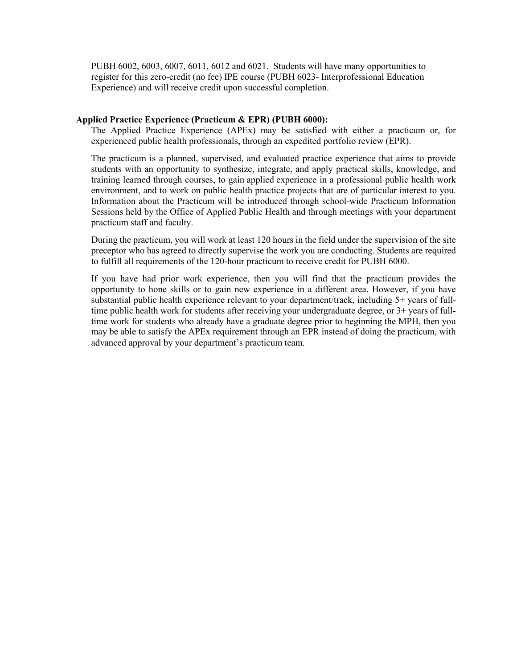PUBH 6002, 6003, 6007, 6011, 6012 and 6021. Students will have many opportunities to register for this zero-credit (no fee) IPE course (PUBH 6023- Interprofessional Education Experience) and will receive credit upon successful completion.

#### **Applied Practice Experience (Practicum & EPR) (PUBH 6000):**

The Applied Practice Experience (APEx) may be satisfied with either a practicum or, for experienced public health professionals, through an expedited portfolio review (EPR).

The practicum is a planned, supervised, and evaluated practice experience that aims to provide students with an opportunity to synthesize, integrate, and apply practical skills, knowledge, and training learned through courses, to gain applied experience in a professional public health work environment, and to work on public health practice projects that are of particular interest to you. Information about the Practicum will be introduced through school-wide Practicum Information Sessions held by the Office of Applied Public Health and through meetings with your department practicum staff and faculty.

During the practicum, you will work at least 120 hours in the field under the supervision of the site preceptor who has agreed to directly supervise the work you are conducting. Students are required to fulfill all requirements of the 120-hour practicum to receive credit for PUBH 6000.

If you have had prior work experience, then you will find that the practicum provides the opportunity to hone skills or to gain new experience in a different area. However, if you have substantial public health experience relevant to your department/track, including 5+ years of fulltime public health work for students after receiving your undergraduate degree, or 3+ years of fulltime work for students who already have a graduate degree prior to beginning the MPH, then you may be able to satisfy the APEx requirement through an EPR instead of doing the practicum, with advanced approval by your department's practicum team.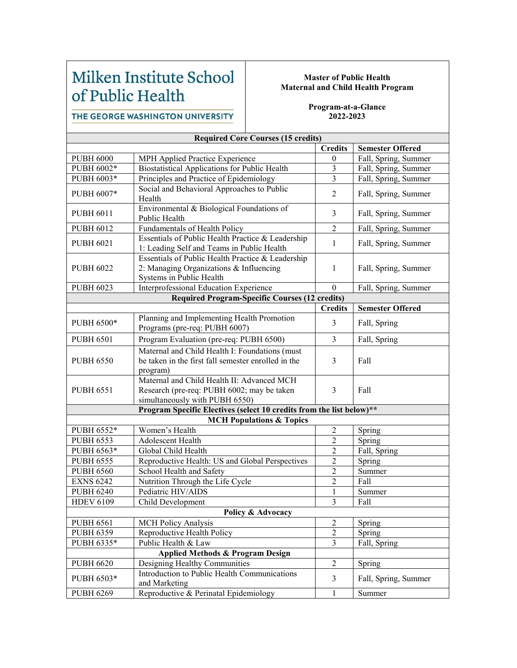# Milken Institute School of Public Health

#### **Master of Public Health Maternal and Child Health Program**

THE GEORGE WASHINGTON UNIVERSITY

#### **Program-at-a-Glance 2022-2023**

| <b>Required Core Courses (15 credits)</b> |                                                                                                                            |                  |                         |
|-------------------------------------------|----------------------------------------------------------------------------------------------------------------------------|------------------|-------------------------|
|                                           |                                                                                                                            | <b>Credits</b>   | <b>Semester Offered</b> |
| <b>PUBH 6000</b>                          | MPH Applied Practice Experience                                                                                            | $\mathbf{0}$     | Fall, Spring, Summer    |
| PUBH 6002*                                | Biostatistical Applications for Public Health                                                                              | $\mathfrak{Z}$   | Fall, Spring, Summer    |
| PUBH 6003*                                | Principles and Practice of Epidemiology                                                                                    | 3                | Fall, Spring, Summer    |
| PUBH 6007*                                | Social and Behavioral Approaches to Public<br>Health                                                                       | $\overline{2}$   | Fall, Spring, Summer    |
| <b>PUBH 6011</b>                          | Environmental & Biological Foundations of<br>Public Health                                                                 | 3                | Fall, Spring, Summer    |
| <b>PUBH 6012</b>                          | Fundamentals of Health Policy                                                                                              | $\overline{2}$   | Fall, Spring, Summer    |
| <b>PUBH 6021</b>                          | Essentials of Public Health Practice & Leadership<br>1: Leading Self and Teams in Public Health                            | 1                | Fall, Spring, Summer    |
| <b>PUBH 6022</b>                          | Essentials of Public Health Practice & Leadership<br>2: Managing Organizations & Influencing<br>Systems in Public Health   | 1                | Fall, Spring, Summer    |
| <b>PUBH 6023</b>                          | Interprofessional Education Experience                                                                                     | $\boldsymbol{0}$ | Fall, Spring, Summer    |
|                                           | <b>Required Program-Specific Courses (12 credits)</b>                                                                      |                  |                         |
|                                           |                                                                                                                            | <b>Credits</b>   | <b>Semester Offered</b> |
| PUBH 6500*                                | Planning and Implementing Health Promotion<br>Programs (pre-req: PUBH 6007)                                                | $\mathfrak{Z}$   | Fall, Spring            |
| <b>PUBH 6501</b>                          | Program Evaluation (pre-req: PUBH 6500)                                                                                    | 3                | Fall, Spring            |
| <b>PUBH 6550</b>                          | Maternal and Child Health I: Foundations (must<br>be taken in the first fall semester enrolled in the<br>program)          | 3                | Fall                    |
| <b>PUBH 6551</b>                          | Maternal and Child Health II: Advanced MCH<br>Research (pre-req: PUBH 6002; may be taken<br>simultaneously with PUBH 6550) | 3                | Fall                    |
|                                           | Program Specific Electives (select 10 credits from the list below)**                                                       |                  |                         |
|                                           | <b>MCH Populations &amp; Topics</b>                                                                                        |                  |                         |
| PUBH 6552*                                | Women's Health                                                                                                             | $\boldsymbol{2}$ | Spring                  |
| <b>PUBH 6553</b>                          | Adolescent Health                                                                                                          | $\overline{2}$   | Spring                  |
| PUBH 6563*                                | Global Child Health                                                                                                        | $\overline{2}$   | Fall, Spring            |
| <b>PUBH 6555</b>                          | Reproductive Health: US and Global Perspectives                                                                            | $\boldsymbol{2}$ | Spring                  |
| <b>PUBH 6560</b>                          | School Health and Safety                                                                                                   | $\overline{2}$   | Summer                  |
| <b>EXNS 6242</b>                          | Nutrition Through the Life Cycle                                                                                           | $\overline{2}$   | Fall                    |
| <b>PUBH 6240</b>                          | Pediatric HIV/AIDS                                                                                                         | $\mathbf{1}$     | Summer                  |
| <b>HDEV 6109</b>                          | Child Development                                                                                                          | 3                | Fall                    |
|                                           | Policy & Advocacy                                                                                                          |                  |                         |
| <b>PUBH 6561</b>                          | <b>MCH Policy Analysis</b>                                                                                                 | $\overline{c}$   | Spring                  |
| <b>PUBH 6359</b>                          | Reproductive Health Policy                                                                                                 | $\overline{c}$   | Spring                  |
| PUBH 6335*                                | Public Health & Law                                                                                                        | $\overline{3}$   | Fall, Spring            |
|                                           | <b>Applied Methods &amp; Program Design</b>                                                                                |                  |                         |
| <b>PUBH 6620</b>                          | Designing Healthy Communities                                                                                              | $\overline{2}$   | Spring                  |
| PUBH 6503*                                | Introduction to Public Health Communications<br>and Marketing                                                              | $\mathfrak{Z}$   | Fall, Spring, Summer    |
| <b>PUBH 6269</b>                          | Reproductive & Perinatal Epidemiology                                                                                      | $\mathbf{1}$     | Summer                  |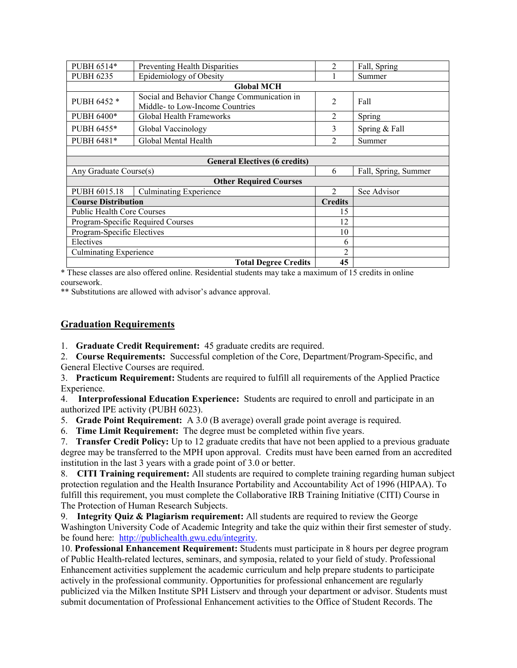| PUBH 6514*                           | Preventing Health Disparities                                                  | 2              | Fall, Spring         |
|--------------------------------------|--------------------------------------------------------------------------------|----------------|----------------------|
| <b>PUBH 6235</b>                     | Epidemiology of Obesity                                                        |                | Summer               |
|                                      | <b>Global MCH</b>                                                              |                |                      |
| PUBH 6452 *                          | Social and Behavior Change Communication in<br>Middle- to Low-Income Countries | 2              | Fall                 |
| PUBH 6400*                           | Global Health Frameworks                                                       | 2              | Spring               |
| PUBH 6455*                           | Global Vaccinology                                                             | 3              | Spring & Fall        |
| PUBH 6481*                           | Global Mental Health                                                           | $\mathfrak{D}$ | Summer               |
|                                      |                                                                                |                |                      |
| <b>General Electives (6 credits)</b> |                                                                                |                |                      |
| Any Graduate Course(s)               |                                                                                | 6              | Fall, Spring, Summer |
| <b>Other Required Courses</b>        |                                                                                |                |                      |
| PUBH 6015.18                         | <b>Culminating Experience</b>                                                  | $\mathfrak{D}$ | See Advisor          |
| <b>Course Distribution</b>           |                                                                                | <b>Credits</b> |                      |
| <b>Public Health Core Courses</b>    |                                                                                | 15             |                      |
| Program-Specific Required Courses    |                                                                                | 12             |                      |
| Program-Specific Electives           |                                                                                | 10             |                      |
| Electives                            |                                                                                | 6              |                      |
| <b>Culminating Experience</b>        |                                                                                | $\overline{2}$ |                      |
|                                      | <b>Total Degree Credits</b>                                                    | 45             |                      |

\* These classes are also offered online. Residential students may take a maximum of 15 credits in online coursework.

\*\* Substitutions are allowed with advisor's advance approval.

#### **Graduation Requirements**

1. **Graduate Credit Requirement:** 45 graduate credits are required.

2. **Course Requirements:** Successful completion of the Core, Department/Program-Specific, and General Elective Courses are required.

3. **Practicum Requirement:** Students are required to fulfill all requirements of the Applied Practice Experience.

4. **Interprofessional Education Experience:** Students are required to enroll and participate in an authorized IPE activity (PUBH 6023).

5. **Grade Point Requirement:** A 3.0 (B average) overall grade point average is required.

6. **Time Limit Requirement:** The degree must be completed within five years.

7. **Transfer Credit Policy:** Up to 12 graduate credits that have not been applied to a previous graduate degree may be transferred to the MPH upon approval. Credits must have been earned from an accredited institution in the last 3 years with a grade point of 3.0 or better.

8. **CITI Training requirement:** All students are required to complete training regarding human subject protection regulation and the Health Insurance Portability and Accountability Act of 1996 (HIPAA). To fulfill this requirement, you must complete the Collaborative IRB Training Initiative (CITI) Course in The Protection of Human Research Subjects.

9. **Integrity Quiz & Plagiarism requirement:** All students are required to review the George Washington University Code of Academic Integrity and take the quiz within their first semester of study. be found here: [http://publichealth.gwu.edu/integrity.](http://publichealth.gwu.edu/integrity)

10. **Professional Enhancement Requirement:** Students must participate in 8 hours per degree program of Public Health-related lectures, seminars, and symposia, related to your field of study. Professional Enhancement activities supplement the academic curriculum and help prepare students to participate actively in the professional community. Opportunities for professional enhancement are regularly publicized via the Milken Institute SPH Listserv and through your department or advisor. Students must submit documentation of Professional Enhancement activities to the Office of Student Records. The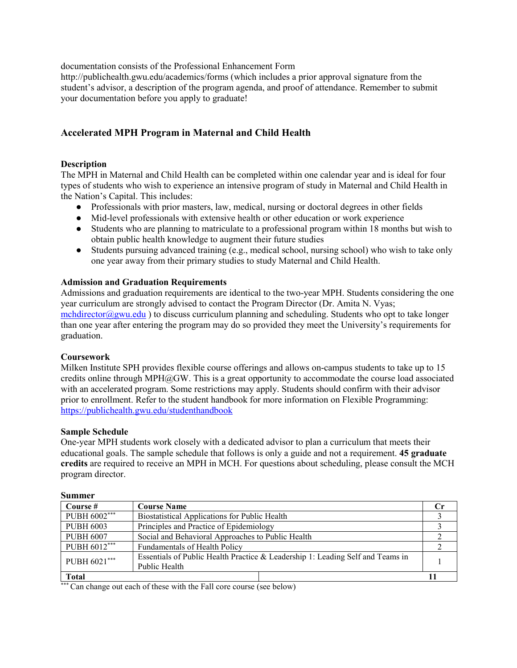documentation consists of the Professional Enhancement Form

http://publichealth.gwu.edu/academics/forms (which includes a prior approval signature from the student's advisor, a description of the program agenda, and proof of attendance. Remember to submit your documentation before you apply to graduate!

## **Accelerated MPH Program in Maternal and Child Health**

#### **Description**

The MPH in Maternal and Child Health can be completed within one calendar year and is ideal for four types of students who wish to experience an intensive program of study in Maternal and Child Health in the Nation's Capital. This includes:

- Professionals with prior masters, law, medical, nursing or doctoral degrees in other fields
- Mid-level professionals with extensive health or other education or work experience
- Students who are planning to matriculate to a professional program within 18 months but wish to obtain public health knowledge to augment their future studies
- Students pursuing advanced training (e.g., medical school, nursing school) who wish to take only one year away from their primary studies to study Maternal and Child Health.

#### **Admission and Graduation Requirements**

Admissions and graduation requirements are identical to the two-year MPH. Students considering the one year curriculum are strongly advised to contact the Program Director (Dr. Amita N. Vyas; mchdirector $\omega$ gwu.edu) to discuss curriculum planning and scheduling. Students who opt to take longer than one year after entering the program may do so provided they meet the University's requirements for graduation.

#### **Coursework**

Milken Institute SPH provides flexible course offerings and allows on-campus students to take up to 15 credits online through MPH $@GW$ . This is a great opportunity to accommodate the course load associated with an accelerated program. Some restrictions may apply. Students should confirm with their advisor prior to enrollment. Refer to the student handbook for more information on Flexible Programming: <https://publichealth.gwu.edu/studenthandbook>

#### **Sample Schedule**

One-year MPH students work closely with a dedicated advisor to plan a curriculum that meets their educational goals. The sample schedule that follows is only a guide and not a requirement. **45 graduate credits** are required to receive an MPH in MCH. For questions about scheduling, please consult the MCH program director.

| <b>Summer</b>    |                                                                                                 |    |
|------------------|-------------------------------------------------------------------------------------------------|----|
| Course #         | <b>Course Name</b>                                                                              | Сr |
| PUBH 6002***     | Biostatistical Applications for Public Health                                                   |    |
| <b>PUBH 6003</b> | Principles and Practice of Epidemiology                                                         |    |
| <b>PUBH 6007</b> | Social and Behavioral Approaches to Public Health                                               |    |
| PUBH 6012***     | Fundamentals of Health Policy                                                                   |    |
| PUBH 6021***     | Essentials of Public Health Practice & Leadership 1: Leading Self and Teams in<br>Public Health |    |
| <b>Total</b>     |                                                                                                 |    |

<sup>\*</sup> Can change out each of these with the Fall core course (see below)